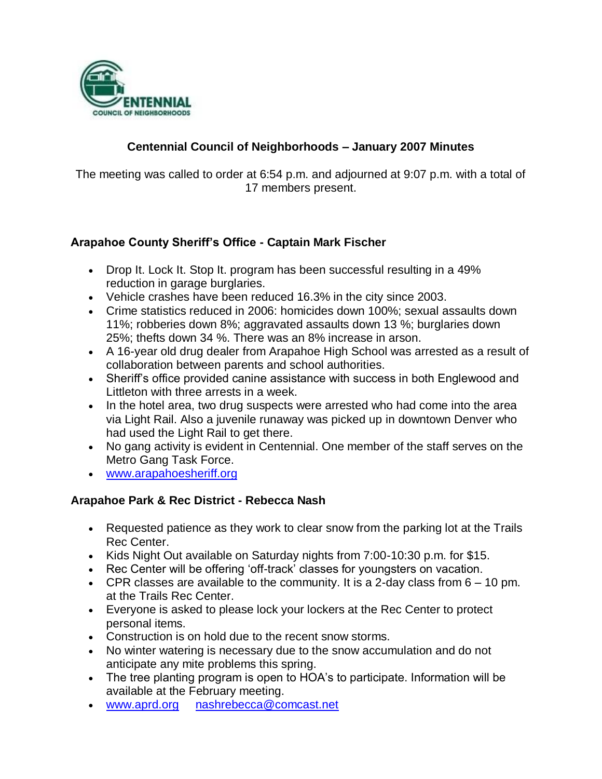

# **Centennial Council of Neighborhoods – January 2007 Minutes**

The meeting was called to order at 6:54 p.m. and adjourned at 9:07 p.m. with a total of 17 members present.

## **Arapahoe County Sheriff's Office - Captain Mark Fischer**

- Drop It. Lock It. Stop It. program has been successful resulting in a 49% reduction in garage burglaries.
- Vehicle crashes have been reduced 16.3% in the city since 2003.
- Crime statistics reduced in 2006: homicides down 100%; sexual assaults down 11%; robberies down 8%; aggravated assaults down 13 %; burglaries down 25%; thefts down 34 %. There was an 8% increase in arson.
- A 16-year old drug dealer from Arapahoe High School was arrested as a result of collaboration between parents and school authorities.
- Sheriff's office provided canine assistance with success in both Englewood and Littleton with three arrests in a week.
- In the hotel area, two drug suspects were arrested who had come into the area via Light Rail. Also a juvenile runaway was picked up in downtown Denver who had used the Light Rail to get there.
- No gang activity is evident in Centennial. One member of the staff serves on the Metro Gang Task Force.
- www.arapahoesheriff.org

## **Arapahoe Park & Rec District - Rebecca Nash**

- Requested patience as they work to clear snow from the parking lot at the Trails Rec Center.
- Kids Night Out available on Saturday nights from 7:00-10:30 p.m. for \$15.
- Rec Center will be offering 'off-track' classes for youngsters on vacation.
- CPR classes are available to the community. It is a 2-day class from  $6 10$  pm. at the Trails Rec Center.
- Everyone is asked to please lock your lockers at the Rec Center to protect personal items.
- Construction is on hold due to the recent snow storms.
- No winter watering is necessary due to the snow accumulation and do not anticipate any mite problems this spring.
- The tree planting program is open to HOA's to participate. Information will be available at the February meeting.
- [www.aprd.org](http://www.aprd.org/) nashrebecca@comcast.net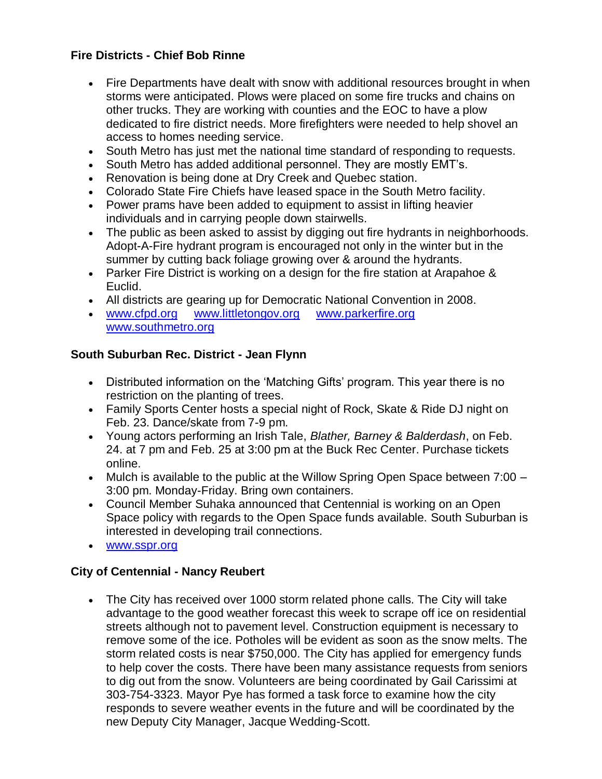# **Fire Districts - Chief Bob Rinne**

- Fire Departments have dealt with snow with additional resources brought in when storms were anticipated. Plows were placed on some fire trucks and chains on other trucks. They are working with counties and the EOC to have a plow dedicated to fire district needs. More firefighters were needed to help shovel an access to homes needing service.
- South Metro has just met the national time standard of responding to requests.
- South Metro has added additional personnel. They are mostly EMT's.
- Renovation is being done at Dry Creek and Quebec station.
- Colorado State Fire Chiefs have leased space in the South Metro facility.
- Power prams have been added to equipment to assist in lifting heavier individuals and in carrying people down stairwells.
- The public as been asked to assist by digging out fire hydrants in neighborhoods. Adopt-A-Fire hydrant program is encouraged not only in the winter but in the summer by cutting back foliage growing over & around the hydrants.
- Parker Fire District is working on a design for the fire station at Arapahoe & Euclid.
- All districts are gearing up for Democratic National Convention in 2008.
- [www.cfpd.org](http://www.cfpd.org/) [www.littletongov.org](http://www.littletongov.org/) [www.parkerfire.org](http://www.parkerfire.org/)  www.southmetro.org

## **South Suburban Rec. District - Jean Flynn**

- Distributed information on the 'Matching Gifts' program. This year there is no restriction on the planting of trees.
- Family Sports Center hosts a special night of Rock, Skate & Ride DJ night on Feb. 23. Dance/skate from 7-9 pm.
- Young actors performing an Irish Tale, *Blather, Barney & Balderdash*, on Feb. 24. at 7 pm and Feb. 25 at 3:00 pm at the Buck Rec Center. Purchase tickets online.
- Mulch is available to the public at the Willow Spring Open Space between 7:00 3:00 pm. Monday-Friday. Bring own containers.
- Council Member Suhaka announced that Centennial is working on an Open Space policy with regards to the Open Space funds available. South Suburban is interested in developing trail connections.
- www.sspr.org

## **City of Centennial - Nancy Reubert**

 The City has received over 1000 storm related phone calls. The City will take advantage to the good weather forecast this week to scrape off ice on residential streets although not to pavement level. Construction equipment is necessary to remove some of the ice. Potholes will be evident as soon as the snow melts. The storm related costs is near \$750,000. The City has applied for emergency funds to help cover the costs. There have been many assistance requests from seniors to dig out from the snow. Volunteers are being coordinated by Gail Carissimi at 303-754-3323. Mayor Pye has formed a task force to examine how the city responds to severe weather events in the future and will be coordinated by the new Deputy City Manager, Jacque Wedding-Scott.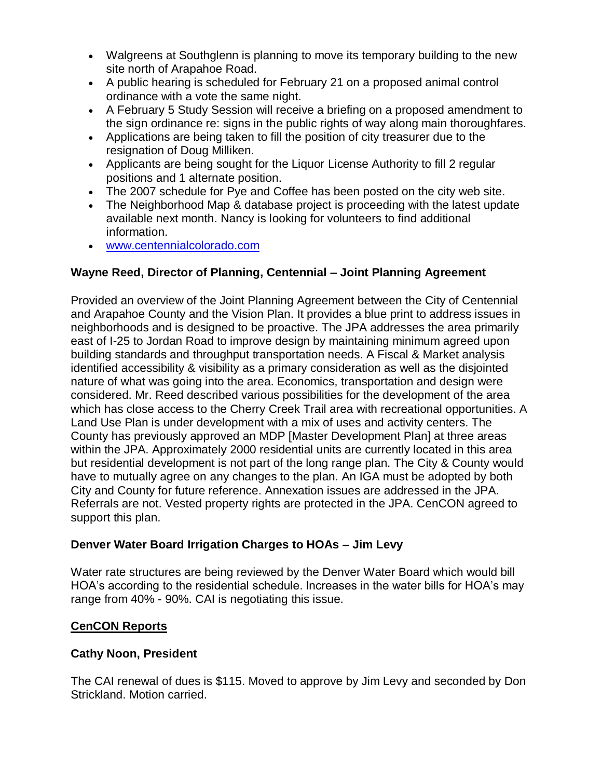- Walgreens at Southglenn is planning to move its temporary building to the new site north of Arapahoe Road.
- A public hearing is scheduled for February 21 on a proposed animal control ordinance with a vote the same night.
- A February 5 Study Session will receive a briefing on a proposed amendment to the sign ordinance re: signs in the public rights of way along main thoroughfares.
- Applications are being taken to fill the position of city treasurer due to the resignation of Doug Milliken.
- Applicants are being sought for the Liquor License Authority to fill 2 regular positions and 1 alternate position.
- The 2007 schedule for Pye and Coffee has been posted on the city web site.
- The Neighborhood Map & database project is proceeding with the latest update available next month. Nancy is looking for volunteers to find additional information.
- www.centennialcolorado.com

# **Wayne Reed, Director of Planning, Centennial – Joint Planning Agreement**

Provided an overview of the Joint Planning Agreement between the City of Centennial and Arapahoe County and the Vision Plan. It provides a blue print to address issues in neighborhoods and is designed to be proactive. The JPA addresses the area primarily east of I-25 to Jordan Road to improve design by maintaining minimum agreed upon building standards and throughput transportation needs. A Fiscal & Market analysis identified accessibility & visibility as a primary consideration as well as the disjointed nature of what was going into the area. Economics, transportation and design were considered. Mr. Reed described various possibilities for the development of the area which has close access to the Cherry Creek Trail area with recreational opportunities. A Land Use Plan is under development with a mix of uses and activity centers. The County has previously approved an MDP [Master Development Plan] at three areas within the JPA. Approximately 2000 residential units are currently located in this area but residential development is not part of the long range plan. The City & County would have to mutually agree on any changes to the plan. An IGA must be adopted by both City and County for future reference. Annexation issues are addressed in the JPA. Referrals are not. Vested property rights are protected in the JPA. CenCON agreed to support this plan.

## **Denver Water Board Irrigation Charges to HOAs – Jim Levy**

Water rate structures are being reviewed by the Denver Water Board which would bill HOA's according to the residential schedule. Increases in the water bills for HOA's may range from 40% - 90%. CAI is negotiating this issue.

# **CenCON Reports**

# **Cathy Noon, President**

The CAI renewal of dues is \$115. Moved to approve by Jim Levy and seconded by Don Strickland. Motion carried.